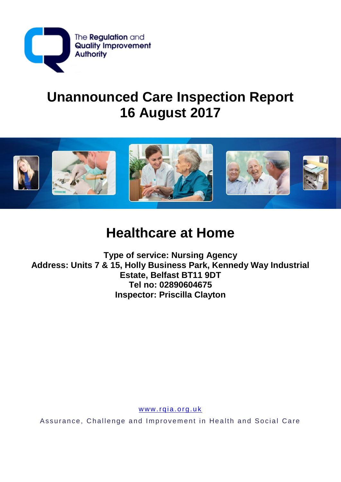

# **Unannounced Care Inspection Report 16 August 2017**



# **Healthcare at Home**

**Type of service: Nursing Agency** Address: Units 7 & 15, Holly Business Park, Kennedy Way Industrial Estate, Belfast BT11 9DT Tel no: 02890604675 **Inspector: Priscilla Clayton** 

www.rqia.org.uk

Assurance, Challenge and Improvement in Health and Social Care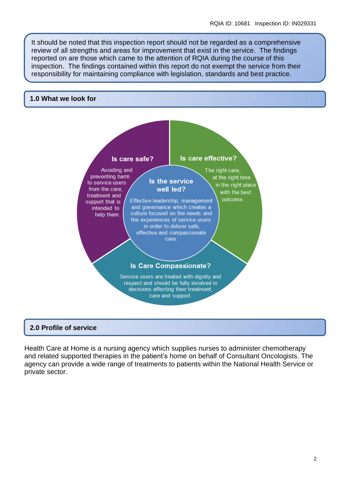It should be noted that this inspection report should not be regarded as a comprehensive review of all strengths and areas for improvement that exist in the service. The findings reported on are those which came to the attention of RQIA during the course of this inspection. The findings contained within this report do not exempt the service from their responsibility for maintaining compliance with legislation, standards and best practice.

#### **1.0 What we look for**



#### **2.0 Profile of service**

Health Care at Home is a nursing agency which supplies nurses to administer chemotherapy and related supported therapies in the patient's home on behalf of Consultant Oncologists. The agency can provide a wide range of treatments to patients within the National Health Service or private sector.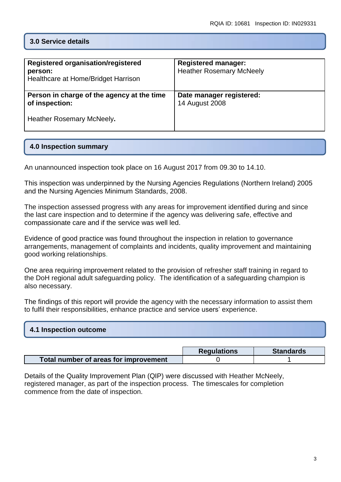# **3.0 Service details**

| Registered organisation/registered<br>person:<br>Healthcare at Home/Bridget Harrison | <b>Registered manager:</b><br><b>Heather Rosemary McNeely</b> |
|--------------------------------------------------------------------------------------|---------------------------------------------------------------|
| Person in charge of the agency at the time<br>of inspection:                         | Date manager registered:<br>14 August 2008                    |
| Heather Rosemary McNeely.                                                            |                                                               |

# **4.0 Inspection summary**

An unannounced inspection took place on 16 August 2017 from 09.30 to 14.10.

This inspection was underpinned by the Nursing Agencies Regulations (Northern Ireland) 2005 and the Nursing Agencies Minimum Standards, 2008.

The inspection assessed progress with any areas for improvement identified during and since the last care inspection and to determine if the agency was delivering safe, effective and compassionate care and if the service was well led.

Evidence of good practice was found throughout the inspection in relation to governance arrangements, management of complaints and incidents, quality improvement and maintaining good working relationships.

One area requiring improvement related to the provision of refresher staff training in regard to the DoH regional adult safeguarding policy. The identification of a safeguarding champion is also necessary.

The findings of this report will provide the agency with the necessary information to assist them to fulfil their responsibilities, enhance practice and service users' experience.

| 4.1 Inspection outcome |  |  |
|------------------------|--|--|
|                        |  |  |

|                                       | <b>Regulations</b> | <b>Standards</b> |
|---------------------------------------|--------------------|------------------|
| Total number of areas for improvement |                    |                  |

Details of the Quality Improvement Plan (QIP) were discussed with Heather McNeely, registered manager, as part of the inspection process. The timescales for completion commence from the date of inspection.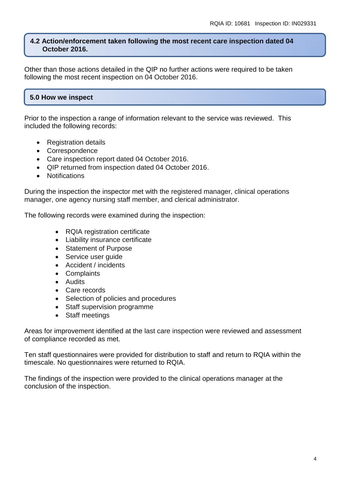#### **4.2 Action/enforcement taken following the most recent care inspection dated 04 October 2016.**

Other than those actions detailed in the QIP no further actions were required to be taken following the most recent inspection on 04 October 2016.

# **5.0 How we inspect**

Prior to the inspection a range of information relevant to the service was reviewed. This included the following records:

- Registration details
- Correspondence
- Care inspection report dated 04 October 2016.
- QIP returned from inspection dated 04 October 2016.
- Notifications

During the inspection the inspector met with the registered manager, clinical operations manager, one agency nursing staff member, and clerical administrator.

The following records were examined during the inspection:

- RQIA registration certificate
- Liability insurance certificate
- Statement of Purpose
- Service user guide
- Accident / incidents
- Complaints
- **•** Audits
- Care records
- Selection of policies and procedures
- Staff supervision programme
- Staff meetings

Areas for improvement identified at the last care inspection were reviewed and assessment of compliance recorded as met.

Ten staff questionnaires were provided for distribution to staff and return to RQIA within the timescale. No questionnaires were returned to RQIA.

The findings of the inspection were provided to the clinical operations manager at the conclusion of the inspection.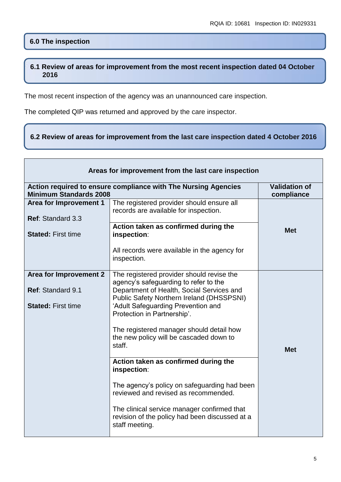# **6.0 The inspection**

#### **6.1 Review of areas for improvement from the most recent inspection dated 04 October 2016**

The most recent inspection of the agency was an unannounced care inspection.

The completed QIP was returned and approved by the care inspector.

#### **6.2 Review of areas for improvement from the last care inspection dated 4 October 2016**

| Areas for improvement from the last care inspection                      |                                                                                                                                                                                                                                                                                                                                                                                                                                                                                                                                                                                                                             |                                    |
|--------------------------------------------------------------------------|-----------------------------------------------------------------------------------------------------------------------------------------------------------------------------------------------------------------------------------------------------------------------------------------------------------------------------------------------------------------------------------------------------------------------------------------------------------------------------------------------------------------------------------------------------------------------------------------------------------------------------|------------------------------------|
| <b>Minimum Standards 2008</b>                                            | Action required to ensure compliance with The Nursing Agencies                                                                                                                                                                                                                                                                                                                                                                                                                                                                                                                                                              | <b>Validation of</b><br>compliance |
| <b>Area for Improvement 1</b><br>Ref: Standard 3.3                       | The registered provider should ensure all<br>records are available for inspection.                                                                                                                                                                                                                                                                                                                                                                                                                                                                                                                                          |                                    |
| <b>Stated: First time</b>                                                | Action taken as confirmed during the<br>inspection:                                                                                                                                                                                                                                                                                                                                                                                                                                                                                                                                                                         | <b>Met</b>                         |
|                                                                          | All records were available in the agency for<br>inspection.                                                                                                                                                                                                                                                                                                                                                                                                                                                                                                                                                                 |                                    |
| Area for Improvement 2<br>Ref: Standard 9.1<br><b>Stated: First time</b> | The registered provider should revise the<br>agency's safeguarding to refer to the<br>Department of Health, Social Services and<br><b>Public Safety Northern Ireland (DHSSPSNI)</b><br>'Adult Safeguarding Prevention and<br>Protection in Partnership'.<br>The registered manager should detail how<br>the new policy will be cascaded down to<br>staff.<br>Action taken as confirmed during the<br>inspection:<br>The agency's policy on safeguarding had been<br>reviewed and revised as recommended.<br>The clinical service manager confirmed that<br>revision of the policy had been discussed at a<br>staff meeting. | <b>Met</b>                         |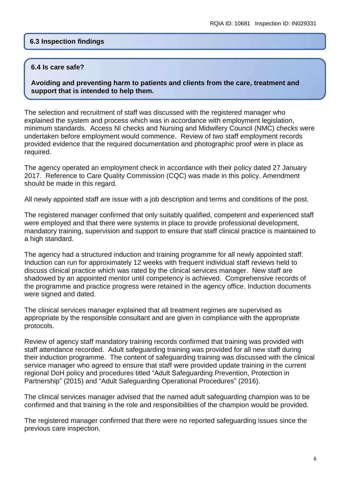#### **6.3 Inspection findings**

#### **6.4 Is care safe?**

**Avoiding and preventing harm to patients and clients from the care, treatment and support that is intended to help them.**

The selection and recruitment of staff was discussed with the registered manager who explained the system and process which was in accordance with employment legislation, minimum standards. Access NI checks and Nursing and Midwifery Council (NMC) checks were undertaken before employment would commence. Review of two staff employment records provided evidence that the required documentation and photographic proof were in place as required.

The agency operated an employment check in accordance with their policy dated 27 January 2017. Reference to Care Quality Commission (CQC) was made in this policy. Amendment should be made in this regard.

All newly appointed staff are issue with a job description and terms and conditions of the post.

The registered manager confirmed that only suitably qualified, competent and experienced staff were employed and that there were systems in place to provide professional development, mandatory training, supervision and support to ensure that staff clinical practice is maintained to a high standard.

The agency had a structured induction and training programme for all newly appointed staff. Induction can run for approximately 12 weeks with frequent individual staff reviews held to discuss clinical practice which was rated by the clinical services manager. New staff are shadowed by an appointed mentor until competency is achieved. Comprehensive records of the programme and practice progress were retained in the agency office. Induction documents were signed and dated.

The clinical services manager explained that all treatment regimes are supervised as appropriate by the responsible consultant and are given in compliance with the appropriate protocols.

Review of agency staff mandatory training records confirmed that training was provided with staff attendance recorded. Adult safeguarding training was provided for all new staff during their induction programme. The content of safeguarding training was discussed with the clinical service manager who agreed to ensure that staff were provided update training in the current regional DoH policy and procedures titled "Adult Safeguarding Prevention, Protection in Partnership" (2015) and "Adult Safeguarding Operational Procedures" (2016).

The clinical services manager advised that the named adult safeguarding champion was to be confirmed and that training in the role and responsibilities of the champion would be provided.

The registered manager confirmed that there were no reported safeguarding issues since the previous care inspection.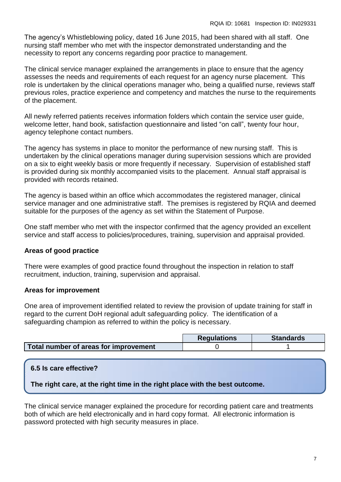The agency's Whistleblowing policy, dated 16 June 2015, had been shared with all staff. One nursing staff member who met with the inspector demonstrated understanding and the necessity to report any concerns regarding poor practice to management.

The clinical service manager explained the arrangements in place to ensure that the agency assesses the needs and requirements of each request for an agency nurse placement. This role is undertaken by the clinical operations manager who, being a qualified nurse, reviews staff previous roles, practice experience and competency and matches the nurse to the requirements of the placement.

All newly referred patients receives information folders which contain the service user guide, welcome letter, hand book, satisfaction questionnaire and listed "on call", twenty four hour, agency telephone contact numbers.

The agency has systems in place to monitor the performance of new nursing staff. This is undertaken by the clinical operations manager during supervision sessions which are provided on a six to eight weekly basis or more frequently if necessary. Supervision of established staff is provided during six monthly accompanied visits to the placement. Annual staff appraisal is provided with records retained.

The agency is based within an office which accommodates the registered manager, clinical service manager and one administrative staff. The premises is registered by RQIA and deemed suitable for the purposes of the agency as set within the Statement of Purpose.

One staff member who met with the inspector confirmed that the agency provided an excellent service and staff access to policies/procedures, training, supervision and appraisal provided.

# **Areas of good practice**

There were examples of good practice found throughout the inspection in relation to staff recruitment, induction, training, supervision and appraisal.

# **Areas for improvement**

One area of improvement identified related to review the provision of update training for staff in regard to the current DoH regional adult safeguarding policy. The identification of a safeguarding champion as referred to within the policy is necessary.

|                                       | <b>Regulations</b> | <b>Standards</b> |
|---------------------------------------|--------------------|------------------|
| Total number of areas for improvement |                    |                  |

# **6.5 Is care effective?**

**The right care, at the right time in the right place with the best outcome.**

The clinical service manager explained the procedure for recording patient care and treatments both of which are held electronically and in hard copy format. All electronic information is password protected with high security measures in place.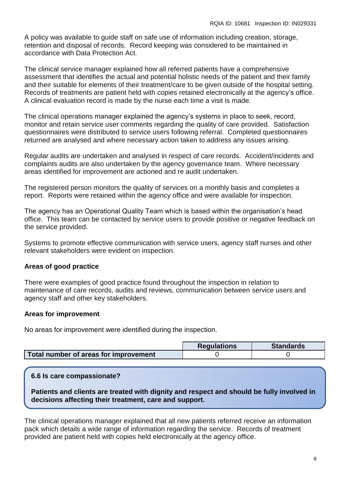A policy was available to guide staff on safe use of information including creation, storage, retention and disposal of records. Record keeping was considered to be maintained in accordance with Data Protection Act.

The clinical service manager explained how all referred patients have a comprehensive assessment that identifies the actual and potential holistic needs of the patient and their family and their suitable for elements of their treatment/care to be given outside of the hospital setting. Records of treatments are patient held with copies retained electronically at the agency's office. A clinical evaluation record is made by the nurse each time a visit is made.

The clinical operations manager explained the agency's systems in place to seek, record, monitor and retain service user comments regarding the quality of care provided. Satisfaction questionnaires were distributed to service users following referral. Completed questionnaires returned are analysed and where necessary action taken to address any issues arising.

Regular audits are undertaken and analysed in respect of care records. Accident/incidents and complaints audits are also undertaken by the agency governance team. Where necessary areas identified for improvement are actioned and re audit undertaken.

The registered person monitors the quality of services on a monthly basis and completes a report. Reports were retained within the agency office and were available for inspection.

The agency has an Operational Quality Team which is based within the organisation's head office. This team can be contacted by service users to provide positive or negative feedback on the service provided.

Systems to promote effective communication with service users, agency staff nurses and other relevant stakeholders were evident on inspection.

# **Areas of good practice**

There were examples of good practice found throughout the inspection in relation to maintenance of care records, audits and reviews, communication between service users and agency staff and other key stakeholders.

#### **Areas for improvement**

No areas for improvement were identified during the inspection.

|                                       | <b>Regulations</b> | <b>Standards</b> |
|---------------------------------------|--------------------|------------------|
| Total number of areas for improvement |                    |                  |

**6.6 Is care compassionate?**

**Patients and clients are treated with dignity and respect and should be fully involved in decisions affecting their treatment, care and support.**

The clinical operations manager explained that all new patients referred receive an information pack which details a wide range of information regarding the service. Records of treatment provided are patient held with copies held electronically at the agency office.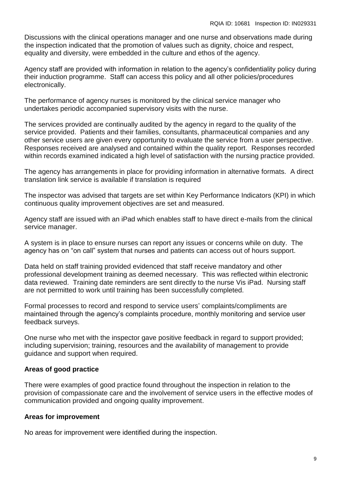Discussions with the clinical operations manager and one nurse and observations made during the inspection indicated that the promotion of values such as dignity, choice and respect, equality and diversity, were embedded in the culture and ethos of the agency.

Agency staff are provided with information in relation to the agency's confidentiality policy during their induction programme. Staff can access this policy and all other policies/procedures electronically.

The performance of agency nurses is monitored by the clinical service manager who undertakes periodic accompanied supervisory visits with the nurse.

The services provided are continually audited by the agency in regard to the quality of the service provided. Patients and their families, consultants, pharmaceutical companies and any other service users are given every opportunity to evaluate the service from a user perspective. Responses received are analysed and contained within the quality report. Responses recorded within records examined indicated a high level of satisfaction with the nursing practice provided.

The agency has arrangements in place for providing information in alternative formats. A direct translation link service is available if translation is required

The inspector was advised that targets are set within Key Performance Indicators (KPI) in which continuous quality improvement objectives are set and measured.

Agency staff are issued with an iPad which enables staff to have direct e-mails from the clinical service manager.

A system is in place to ensure nurses can report any issues or concerns while on duty. The agency has on "on call" system that nurses and patients can access out of hours support.

Data held on staff training provided evidenced that staff receive mandatory and other professional development training as deemed necessary. This was reflected within electronic data reviewed. Training date reminders are sent directly to the nurse Vis iPad. Nursing staff are not permitted to work until training has been successfully completed.

Formal processes to record and respond to service users' complaints/compliments are maintained through the agency's complaints procedure, monthly monitoring and service user feedback surveys.

One nurse who met with the inspector gave positive feedback in regard to support provided; including supervision; training, resources and the availability of management to provide guidance and support when required.

# **Areas of good practice**

There were examples of good practice found throughout the inspection in relation to the provision of compassionate care and the involvement of service users in the effective modes of communication provided and ongoing quality improvement.

# **Areas for improvement**

No areas for improvement were identified during the inspection.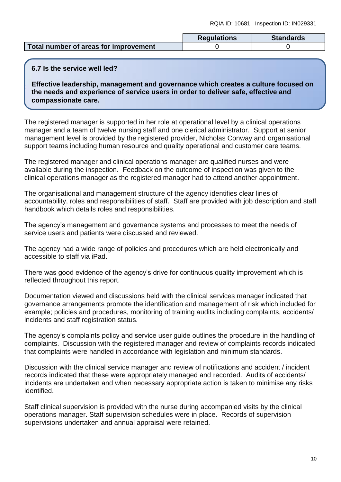|                                       | <b>Regulations</b> | <b>Standards</b> |
|---------------------------------------|--------------------|------------------|
| Total number of areas for improvement |                    |                  |

#### **6.7 Is the service well led?**

**Effective leadership, management and governance which creates a culture focused on the needs and experience of service users in order to deliver safe, effective and compassionate care.**

The registered manager is supported in her role at operational level by a clinical operations manager and a team of twelve nursing staff and one clerical administrator. Support at senior management level is provided by the registered provider, Nicholas Conway and organisational support teams including human resource and quality operational and customer care teams.

The registered manager and clinical operations manager are qualified nurses and were available during the inspection. Feedback on the outcome of inspection was given to the clinical operations manager as the registered manager had to attend another appointment.

The organisational and management structure of the agency identifies clear lines of accountability, roles and responsibilities of staff. Staff are provided with job description and staff handbook which details roles and responsibilities.

The agency's management and governance systems and processes to meet the needs of service users and patients were discussed and reviewed.

The agency had a wide range of policies and procedures which are held electronically and accessible to staff via iPad.

There was good evidence of the agency's drive for continuous quality improvement which is reflected throughout this report.

Documentation viewed and discussions held with the clinical services manager indicated that governance arrangements promote the identification and management of risk which included for example; policies and procedures, monitoring of training audits including complaints, accidents/ incidents and staff registration status.

The agency's complaints policy and service user guide outlines the procedure in the handling of complaints. Discussion with the registered manager and review of complaints records indicated that complaints were handled in accordance with legislation and minimum standards.

Discussion with the clinical service manager and review of notifications and accident / incident records indicated that these were appropriately managed and recorded. Audits of accidents/ incidents are undertaken and when necessary appropriate action is taken to minimise any risks identified.

Staff clinical supervision is provided with the nurse during accompanied visits by the clinical operations manager. Staff supervision schedules were in place. Records of supervision supervisions undertaken and annual appraisal were retained.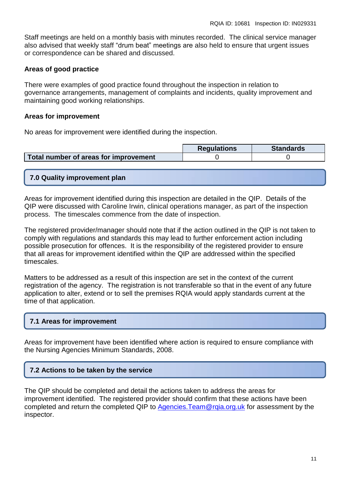Staff meetings are held on a monthly basis with minutes recorded. The clinical service manager also advised that weekly staff "drum beat" meetings are also held to ensure that urgent issues or correspondence can be shared and discussed.

#### **Areas of good practice**

There were examples of good practice found throughout the inspection in relation to governance arrangements, management of complaints and incidents, quality improvement and maintaining good working relationships.

#### **Areas for improvement**

No areas for improvement were identified during the inspection.

|                                       | <b>Requlations</b> | <b>Standards</b> |
|---------------------------------------|--------------------|------------------|
| Total number of areas for improvement |                    |                  |

# **7.0 Quality improvement plan**

Areas for improvement identified during this inspection are detailed in the QIP. Details of the QIP were discussed with Caroline Irwin, clinical operations manager, as part of the inspection process. The timescales commence from the date of inspection.

The registered provider/manager should note that if the action outlined in the QIP is not taken to comply with regulations and standards this may lead to further enforcement action including possible prosecution for offences. It is the responsibility of the registered provider to ensure that all areas for improvement identified within the QIP are addressed within the specified timescales.

Matters to be addressed as a result of this inspection are set in the context of the current registration of the agency. The registration is not transferable so that in the event of any future application to alter, extend or to sell the premises RQIA would apply standards current at the time of that application.

# **7.1 Areas for improvement**

Areas for improvement have been identified where action is required to ensure compliance with the Nursing Agencies Minimum Standards, 2008.

# **7.2 Actions to be taken by the service**

The QIP should be completed and detail the actions taken to address the areas for improvement identified. The registered provider should confirm that these actions have been completed and return the completed QIP to Agencies. Team@rgia.org.uk for assessment by the inspector.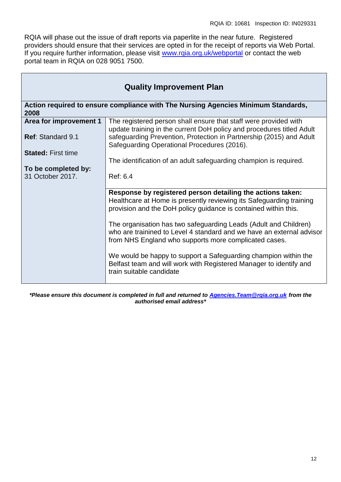RQIA will phase out the issue of draft reports via paperlite in the near future. Registered providers should ensure that their services are opted in for the receipt of reports via Web Portal. If you require further information, please visit [www.rqia.org.uk/webportal](http://www.rqia.org.uk/webportal) or contact the web portal team in RQIA on 028 9051 7500.

| <b>Quality Improvement Plan</b>                    |                                                                                                                                                                                                                  |  |
|----------------------------------------------------|------------------------------------------------------------------------------------------------------------------------------------------------------------------------------------------------------------------|--|
| 2008                                               | Action required to ensure compliance with The Nursing Agencies Minimum Standards,                                                                                                                                |  |
| Area for improvement 1<br><b>Ref: Standard 9.1</b> | The registered person shall ensure that staff were provided with<br>update training in the current DoH policy and procedures titled Adult<br>safeguarding Prevention, Protection in Partnership (2015) and Adult |  |
| <b>Stated: First time</b>                          | Safeguarding Operational Procedures (2016).<br>The identification of an adult safeguarding champion is required.                                                                                                 |  |
| To be completed by:<br>31 October 2017.            | Ref: 6.4                                                                                                                                                                                                         |  |
|                                                    | Response by registered person detailing the actions taken:<br>Healthcare at Home is presently reviewing its Safeguarding training<br>provision and the DoH policy guidance is contained within this.             |  |
|                                                    | The organisation has two safeguarding Leads (Adult and Children)<br>who are trainined to Level 4 standard and we have an external advisor<br>from NHS England who supports more complicated cases.               |  |
|                                                    | We would be happy to support a Safeguarding champion within the<br>Belfast team and will work with Registered Manager to identify and<br>train suitable candidate                                                |  |

*\*Please ensure this document is completed in full and returned to [Agencies.Team@rqia.org.uk](mailto:Agencies.Team@rqia.org.uk) from the authorised email address\**